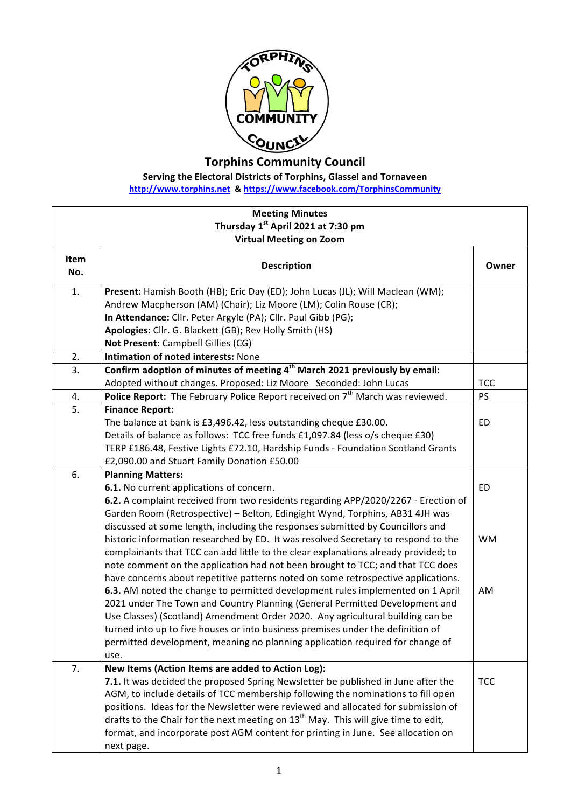

**Torphins Community Council**

**Serving the Electoral Districts of Torphins, Glassel and Tornaveen** 

**http://www.torphins.net & https://www.facebook.com/TorphinsCommunity**

| <b>Meeting Minutes</b>                         |                                                                                                                                                                                                                                                                                                                                                                                                                                                                                                                                                                                                                                                                                                                                                                                                                                                                                                                                                                                                                                                                                     |                              |  |
|------------------------------------------------|-------------------------------------------------------------------------------------------------------------------------------------------------------------------------------------------------------------------------------------------------------------------------------------------------------------------------------------------------------------------------------------------------------------------------------------------------------------------------------------------------------------------------------------------------------------------------------------------------------------------------------------------------------------------------------------------------------------------------------------------------------------------------------------------------------------------------------------------------------------------------------------------------------------------------------------------------------------------------------------------------------------------------------------------------------------------------------------|------------------------------|--|
| Thursday 1 <sup>st</sup> April 2021 at 7:30 pm |                                                                                                                                                                                                                                                                                                                                                                                                                                                                                                                                                                                                                                                                                                                                                                                                                                                                                                                                                                                                                                                                                     |                              |  |
| <b>Virtual Meeting on Zoom</b>                 |                                                                                                                                                                                                                                                                                                                                                                                                                                                                                                                                                                                                                                                                                                                                                                                                                                                                                                                                                                                                                                                                                     |                              |  |
| Item<br>No.                                    | <b>Description</b>                                                                                                                                                                                                                                                                                                                                                                                                                                                                                                                                                                                                                                                                                                                                                                                                                                                                                                                                                                                                                                                                  | Owner                        |  |
| 1.                                             | Present: Hamish Booth (HB); Eric Day (ED); John Lucas (JL); Will Maclean (WM);<br>Andrew Macpherson (AM) (Chair); Liz Moore (LM); Colin Rouse (CR);<br>In Attendance: Cllr. Peter Argyle (PA); Cllr. Paul Gibb (PG);<br>Apologies: Cllr. G. Blackett (GB); Rev Holly Smith (HS)<br>Not Present: Campbell Gillies (CG)                                                                                                                                                                                                                                                                                                                                                                                                                                                                                                                                                                                                                                                                                                                                                               |                              |  |
| 2.                                             | Intimation of noted interests: None                                                                                                                                                                                                                                                                                                                                                                                                                                                                                                                                                                                                                                                                                                                                                                                                                                                                                                                                                                                                                                                 |                              |  |
| 3.                                             | Confirm adoption of minutes of meeting $4th$ March 2021 previously by email:<br>Adopted without changes. Proposed: Liz Moore Seconded: John Lucas                                                                                                                                                                                                                                                                                                                                                                                                                                                                                                                                                                                                                                                                                                                                                                                                                                                                                                                                   | <b>TCC</b>                   |  |
| 4.                                             | <b>Police Report:</b> The February Police Report received on $7th$ March was reviewed.                                                                                                                                                                                                                                                                                                                                                                                                                                                                                                                                                                                                                                                                                                                                                                                                                                                                                                                                                                                              | PS                           |  |
| 5.                                             | <b>Finance Report:</b><br>The balance at bank is £3,496.42, less outstanding cheque £30.00.<br>Details of balance as follows: TCC free funds £1,097.84 (less o/s cheque £30)<br>TERP £186.48, Festive Lights £72.10, Hardship Funds - Foundation Scotland Grants<br>£2,090.00 and Stuart Family Donation £50.00                                                                                                                                                                                                                                                                                                                                                                                                                                                                                                                                                                                                                                                                                                                                                                     | ED                           |  |
| 6.                                             | <b>Planning Matters:</b>                                                                                                                                                                                                                                                                                                                                                                                                                                                                                                                                                                                                                                                                                                                                                                                                                                                                                                                                                                                                                                                            |                              |  |
|                                                | 6.1. No current applications of concern.<br>6.2. A complaint received from two residents regarding APP/2020/2267 - Erection of<br>Garden Room (Retrospective) - Belton, Edingight Wynd, Torphins, AB31 4JH was<br>discussed at some length, including the responses submitted by Councillors and<br>historic information researched by ED. It was resolved Secretary to respond to the<br>complainants that TCC can add little to the clear explanations already provided; to<br>note comment on the application had not been brought to TCC; and that TCC does<br>have concerns about repetitive patterns noted on some retrospective applications.<br>6.3. AM noted the change to permitted development rules implemented on 1 April<br>2021 under The Town and Country Planning (General Permitted Development and<br>Use Classes) (Scotland) Amendment Order 2020. Any agricultural building can be<br>turned into up to five houses or into business premises under the definition of<br>permitted development, meaning no planning application required for change of<br>use. | <b>ED</b><br><b>WM</b><br>AM |  |
| 7.                                             | New Items (Action Items are added to Action Log):<br>7.1. It was decided the proposed Spring Newsletter be published in June after the<br>AGM, to include details of TCC membership following the nominations to fill open<br>positions. Ideas for the Newsletter were reviewed and allocated for submission of<br>drafts to the Chair for the next meeting on 13 <sup>th</sup> May. This will give time to edit,<br>format, and incorporate post AGM content for printing in June. See allocation on<br>next page.                                                                                                                                                                                                                                                                                                                                                                                                                                                                                                                                                                 | <b>TCC</b>                   |  |